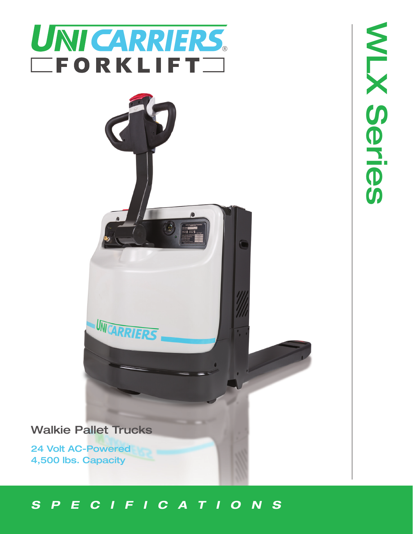



**Walkie Pallet Trucks** 

24 Volt AC-Powered 4,500 lbs. Capacity

# *SPECIFICATIONS*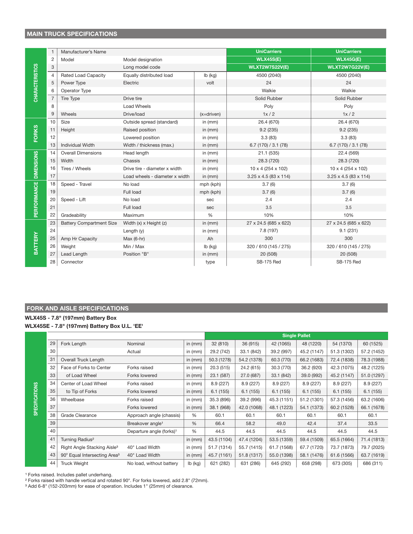# **MAIN TRUCK SPECIFICATIONS**

|                        | $\mathbf{1}$   | Manufacturer's Name             |                                |               | <b>UniCarriers</b>                | <b>UniCarriers</b>                |  |  |
|------------------------|----------------|---------------------------------|--------------------------------|---------------|-----------------------------------|-----------------------------------|--|--|
| <b>CHARACTERISTICS</b> | $\overline{2}$ | Model                           | Model designation              |               | <b>WLX45S(E)</b>                  | <b>WLX45G(E)</b>                  |  |  |
|                        | 3              |                                 | Long model code                |               | <b>WLXT2W7S22V(E)</b>             | <b>WLXT2W7G22V(E)</b>             |  |  |
|                        | $\overline{4}$ | <b>Rated Load Capacity</b>      | Equally distributed load       | $lb$ (kg)     | 4500 (2040)                       | 4500 (2040)                       |  |  |
|                        | 5              | Power Type                      | Electric                       | volt          | 24                                | 24                                |  |  |
|                        | 6              | Operator Type                   |                                |               | Walkie                            | Walkie                            |  |  |
|                        | $\overline{7}$ | <b>Tire Type</b>                | Drive tire                     |               | Solid Rubber                      | Solid Rubber                      |  |  |
|                        | 8              |                                 | <b>Load Wheels</b>             |               | Poly                              | Poly                              |  |  |
|                        | 9              | Wheels                          | Drive/load                     | $(x=driven)$  | 1x/2                              | 1x/2                              |  |  |
| <b>FORKS</b>           | 10             | Size                            | Outside spread (standard)      | in $(mm)$     | 26.4 (670)                        | 26.4 (670)                        |  |  |
|                        | 11             | Height                          | Raised position                | in $(mm)$     | 9.2(235)                          | 9.2(235)                          |  |  |
|                        | 12             |                                 | Lowered position               | in $(mm)$     | 3.3(83)                           | 3.3(83)                           |  |  |
|                        | 13             | <b>Individual Width</b>         | Width / thickness (max.)       | in $(mm)$     | 6.7(170)/3.1(78)                  | 6.7(170)/3.1(78)                  |  |  |
| <b>DIMENSIONS</b>      | 14             | <b>Overall Dimensions</b>       | Head length                    | in $(mm)$     | 21.1 (535)                        | 22.4 (569)                        |  |  |
|                        | 15             | Width                           | Chassis                        | in $(mm)$     | 28.3 (720)                        | 28.3 (720)                        |  |  |
|                        | 16             | Tires / Wheels                  | Drive tire - diameter x width  | in $(mm)$     | 10 x 4 (254 x 102)                | $10 \times 4 (254 \times 102)$    |  |  |
|                        | 17             |                                 | Load wheels - diameter x width | in $(mm)$     | $3.25 \times 4.5 (83 \times 114)$ | $3.25 \times 4.5 (83 \times 114)$ |  |  |
| PERFORMANCE            | 18             | Speed - Travel                  | No load                        | mph (kph)     | 3.7(6)                            | 3.7(6)                            |  |  |
|                        | 19             |                                 | Full load                      | mph (kph)     | 3.7(6)                            | 3.7(6)                            |  |  |
|                        | 20             | Speed - Lift                    | No load                        | sec           | 2.4                               | 2.4                               |  |  |
|                        | 21             |                                 | Full load                      | sec           | 3.5                               | 3.5                               |  |  |
|                        | 22             | Gradeability                    | Maximum                        | $\frac{0}{0}$ | 10%                               | 10%                               |  |  |
| BATTERY                | 23             | <b>Battery Compartment Size</b> | Width $(x)$ x Height $(z)$     | in $(mm)$     | 27 x 24.5 (685 x 622)             | 27 x 24.5 (685 x 622)             |  |  |
|                        | 24             |                                 | Length $(y)$                   | in $(mm)$     | 7.8 (197)                         | 9.1(231)                          |  |  |
|                        | 25             | Amp Hr Capacity                 | $Max(6-hr)$                    | Ah            | 300                               | 300                               |  |  |
|                        | 26             | Weight                          | Min / Max                      | $lb$ (kg)     | 320 / 610 (145 / 275)             | 320 / 610 (145 / 275)             |  |  |
|                        | 27             | Lead Length                     | Position "B"                   | in $(mm)$     | 20 (508)                          | 20 (508)                          |  |  |
|                        | 28             | Connector                       |                                | type          | SB-175 Red                        | <b>SB-175 Red</b>                 |  |  |

### FORK AND AISLE SPECIFICATIONS

### WLX45S - 7.8" (197mm) Battery Box WLX45SE - 7.8" (197mm) Battery Box U.L. 'EE'

|                       |    |                                          | <b>Single Pallet</b>                 |           |             |             |             |             |             |             |
|-----------------------|----|------------------------------------------|--------------------------------------|-----------|-------------|-------------|-------------|-------------|-------------|-------------|
| <b>SPECIFICATIONS</b> | 29 | Fork Length                              | Nominal                              | in $(mm)$ | 32 (810)    | 36 (915)    | 42 (1065)   | 48 (1220)   | 54 (1370)   | 60 (1525)   |
|                       | 30 |                                          | Actual                               | in $(mm)$ | 29.2 (742)  | 33.1 (842)  | 39.2 (997)  | 45.2 (1147) | 51.3 (1302) | 57.2 (1452) |
|                       | 31 | Overall Truck Length                     |                                      | in (mm)   | 50.3 (1278) | 54.2 (1378) | 60.3 (770)  | 66.2 (1683) | 72.4 (1838) | 78.3 (1988) |
|                       | 32 | Face of Forks to Center                  | Forks raised                         | in $(mm)$ | 20.3(515)   | 24.2 (615)  | 30.3 (770)  | 36.2 (920)  | 42.3 (1075) | 48.2 (1225) |
|                       | 33 | of Load Wheel                            | Forks lowered                        | in $(mm)$ | 23.1 (587)  | 27.0 (687)  | 33.1 (842)  | 39.0 (992)  | 45.2 (1147) | 51.0 (1297) |
|                       | 34 | Center of Load Wheel                     | Forks raised                         | in $(mm)$ | 8.9(227)    | 8.9 (227)   | 8.9(227)    | 8.9 (227)   | 8.9 (227)   | 8.9 (227)   |
|                       | 35 | to Tip of Forks                          | Forks lowered                        | in $(mm)$ | 6.1(155)    | 6.1(155)    | 6.1(155)    | 6.1(155)    | 6.1(155)    | 6.1(155)    |
|                       | 36 | Wheelbase                                | Forks raised                         | in $(mm)$ | 35.3 (896)  | 39.2 (996)  | 45.3 (1151) | 51.2 (1301) | 57.3 (1456) | 63.2 (1606) |
|                       | 37 |                                          | Forks lowered                        | in $(mm)$ | 38.1 (968)  | 42.0 (1068) | 48.1 (1223) | 54.1 (1373) | 60.2 (1528) | 66.1 (1678) |
|                       | 38 | Grade Clearance                          | Approach angle (chassis)             | %         | 60.1        | 60.1        | 60.1        | 60.1        | 60.1        | 60.1        |
|                       | 39 |                                          | Breakover angle <sup>1</sup>         | %         | 66.4        | 58.2        | 49.0        | 42.4        | 37.4        | 33.5        |
|                       | 40 |                                          | Departure angle (forks) <sup>1</sup> | %         | 44.5        | 44.5        | 44.5        | 44.5        | 44.5        | 44.5        |
|                       | 41 | Turning Radius <sup>2</sup>              |                                      | in $(mm)$ | 43.5 (1104) | 47.4 (1204) | 53.5 (1359) | 59.4 (1509) | 65.5 (1664) | 71.4 (1813) |
|                       | 42 | Right Angle Stacking Aisle <sup>3</sup>  | 40" Load Width                       | in $(mm)$ | 51.7 (1314) | 55.7 (1415) | 61.7 (1568) | 67.7 (1720) | 73.7 (1873) | 79.7 (2025) |
|                       | 43 | 90° Equal Intersecting Area <sup>3</sup> | 40" Load Width                       | in $(mm)$ | 45.7 (1161) | 51.8 (1317) | 55.0 (1398) | 58.1 (1476) | 61.6 (1566) | 63.7 (1619) |
|                       | 44 | <b>Truck Weight</b>                      | No load, without battery             | $Ib$ (kg) | 621 (282)   | 631 (286)   | 645 (292)   | 658 (298)   | 673 (305)   | 686 (311)   |

<sup>1</sup> Forks raised. Includes pallet underhang.

<sup>2</sup> Forks raised with handle vertical and rotated 90°. For forks lowered, add 2.8" (72mm).

<sup>3</sup> Add 6-8" (152-203mm) for ease of operation. Includes 1" (25mm) of clearance.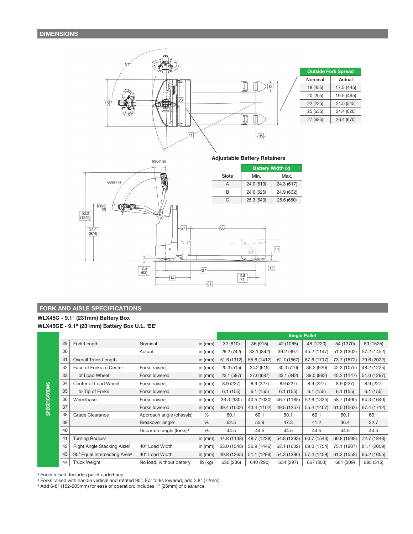

**Adjustable Battery Retainers** 



### FORK AND AISLE SPECIFICATIONS

### WLX45G - 9.1" (231mm) Battery Box WLX45GE - 9.1" (231mm) Battery Box U.L. 'EE'

|                       |    |                                          |                                      |               | <b>Single Pallet</b> |             |             |             |             |             |
|-----------------------|----|------------------------------------------|--------------------------------------|---------------|----------------------|-------------|-------------|-------------|-------------|-------------|
|                       | 29 | Fork Length                              | Nominal                              | in $(mm)$     | 32 (810)             | 36 (915)    | 42 (1065)   | 48 (1220)   | 54 (1370)   | 60 (1525)   |
|                       | 30 |                                          | Actual                               | in $(mm)$     | 29.2 (742)           | 33.1 (842)  | 39.2 (997)  | 45.2 (1147) | 51.3 (1302) | 57.2 (1452) |
|                       | 31 | <b>Overall Truck Length</b>              |                                      | in $(mm)$     | 51.6 (1312)          | 55.6 (1412) | 61.7 (1567) | 67.6 (1717) | 73.7 (1872) | 79.6 (2022) |
|                       | 32 | Face of Forks to Center                  | Forks raised                         | in $(mm)$     | 20.3 (515)           | 24.2 (615)  | 30.3 (770)  | 36.2 (920)  | 42.3 (1075) | 48.2 (1225) |
|                       | 33 | of Load Wheel                            | Forks lowered                        | in $(mm)$     | 23.1 (587)           | 27.0 (687)  | 33.1 (842)  | 39.0 (992)  | 45.2 (1147) | 51.0 (1297) |
| <b>SPECIFICATIONS</b> | 34 | Center of Load Wheel                     | Forks raised                         | in $(mm)$     | 8.9(227)             | 8.9(227)    | 8.9(227)    | 8.9(227)    | 8.9(227)    | 8.9 (227)   |
|                       | 35 | to Tip of Forks                          | Forks lowered                        | in $(mm)$     | 6.1(155)             | 6.1(155)    | 6.1(155)    | 6.1(155)    | 6.1(155)    | 6.1(155)    |
|                       | 36 | Wheelbase                                | Forks raised                         | in $(mm)$     | 36.3 (930)           | 40.5 (1030) | 46.7 (1185) | 52.6 (1335) | 58.7 (1490) | 64.3 (1640) |
|                       | 37 |                                          | Forks lowered                        | in $(mm)$     | 39.4 (1002)          | 43.4 (1102) | 49.5 (1257) | 55.4 (1407) | 61.5 (1562) | 67.4 (1712) |
|                       | 38 | Grade Clearance                          | Approach angle (chassis)             | %             | 60.1                 | 60.1        | 60.1        | 60.1        | 60.1        | 60.1        |
|                       | 39 |                                          | Breakover angle <sup>1</sup>         | $\frac{0}{6}$ | 62.5                 | 55.9        | 47.3        | 41.2        | 36.4        | 32.7        |
|                       | 40 |                                          | Departure angle (forks) <sup>1</sup> | %             | 44.5                 | 44.5        | 44.5        | 44.5        | 44.5        | 44.5        |
|                       | 41 | Turning Radius <sup>2</sup>              |                                      | in $(mm)$     | 44.8 (1138)          | 48.7 (1238) | 54.8 (1393) | 60.7 (1543) | 66.8 (1698) | 72.7 (1848) |
|                       | 42 | Right Angle Stacking Aisle <sup>3</sup>  | 40" Load Width                       | in $(mm)$     | 53.0 (1348)          | 56.9 (1446) | 63.1 (1602) | 69.0 (1754) | 75.1 (1907) | 81.1 (2059) |
|                       | 43 | 90° Equal Intersecting Area <sup>3</sup> | 40" Load Width                       | in $(mm)$     | 49.8 (1265)          | 51.1 (1299) | 54.3 (1380) | 57.4 (1459) | 61.3 (1558) | 65.2 (1655) |
|                       | 44 | <b>Truck Weight</b>                      | No load, without battery             | lb (kg)       | 630 (286)            | 640 (290)   | 654 (297)   | 667 (303)   | 681 (309)   | 695 (315)   |

<sup>1</sup> Forks raised. Includes pallet underhang.

<sup>2</sup> Forks raised with handle vertical and rotated 90°. For forks lowered, add 2.8" (72mm).

<sup>3</sup> Add 6-8" (152-203mm) for ease of operation. Includes 1" (25mm) of clearance.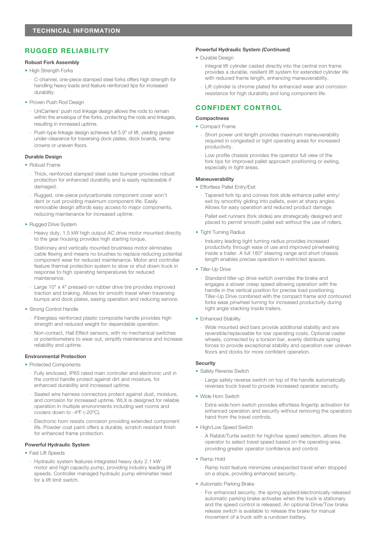# **RUGGED RELIABILITY**

### **Robust Fork Assembly**

- High Strength Forks
	- C-channel, one-piece stamped steel forks offers high strength for handling heavy loads and feature reinforced tips for increased durability.
- Proven Push Rod Design
	- UniCarriers' push rod linkage design allows the rods to remain within the envelope of the forks, protecting the rods and linkages, resulting in increased uptime.
	- Push-type linkage design achieves full 5.9" of lift, yielding greater under-clearance for traversing dock plates, dock boards, ramp crowns or uneven floors.

### **Durable Design**

- Robust Frame
	- Thick, reinforced stamped steel outer bumper provides robust protection for enhanced durability and is easily replaceable if damaged.
	- Rugged, one-piece polycarbonate component cover won't dent or rust providing maximum component life. Easily removable design affords easy access to major components, reducing maintenance for increased uptime.
- Rugged Drive System
	- Heavy duty, 1.5 kW high output AC drive motor mounted directly to the gear housing provides high starting torque.
	- Stationary and vertically mounted brushless motor eliminates cable flexing and means no brushes to replace reducing potential component wear for reduced maintenance. Motor and controller feature thermal protection system to slow or shut down truck in response to high operating temperatures for reduced maintenance.
	- Large 10" x 4" pressed-on rubber drive tire provides improved traction and braking. Allows for smooth travel when traversing bumps and dock plates, easing operation and reducing service.
- Strong Control Handle
	- Fiberglass reinforced plastic composite handle provides high strength and reduced weight for dependable operation.
	- Non-contact, Hall Effect sensors, with no mechanical switches or potentiometers to wear out, simplify maintenance and increase reliability and uptime.

#### **Environmental Protection**

- Protected Components
	- Fully enclosed, IP65 rated main controller and electronic unit in the control handle protect against dirt and moisture, for enhanced durability and increased uptime.
	- Sealed wire harness connectors protect against dust, moisture, and corrosion for increased uptime. WLX is designed for reliable operation in multiple environments including wet rooms and coolers down to -4 $\mathrm{P}F$  (-20 $\mathrm{C}O$ ).
	- Electronic horn resists corrosion providing extended component life. Powder coat paint offers a durable, scratch resistant finish for enhanced frame protection.

#### Powerful Hydraulic System

### • Fast Lift Speeds

Hydraulic system features integrated heavy duty 2.1 kW motor and high capacity pump, providing industry leading lift speeds. Controller managed hydraulic pump eliminates need for a lift limit switch.

#### **Powerful Hydraulic System (Continued)**

- Durable Design
	- Integral lift cylinder casted directly into the central iron frame provides a durable, resilient lift system for extended cylinder life with reduced frame length, enhancing maneuverability.
- Lift cylinder is chrome plated for enhanced wear and corrosion resistance for high durability and long component life.

### **CONFIDENT CONTROL**

#### **Compactness**

- Compact Frame
	- Short power unit length provides maximum maneuverability required in congested or tight operating areas for increased productivity.
	- Low profile chassis provides the operator full view of the fork tips for improved pallet approach positioning or exiting, especially in tight areas.

#### **Maneuverability**

- Effortless Pallet Entry/Exit
	- Tapered fork tip and convex fork slide enhance pallet entry/ exit by smoothly gliding into pallets, even at sharp angles. Allows for easy operation and reduced product damage.
	- Pallet exit runners (fork slides) are strategically designed and placed to permit smooth pallet exit without the use of rollers.
- Tight Turning Radius
	- Industry leading tight turning radius provides increased productivity through ease of use and improved pinwheeling inside a trailer. A full 180° steering range and short chassis length enables precise operation in restricted spaces.
- Tiller-Up Drive
	- Standard tiller-up drive switch overrides the brake and engages a slower creep speed allowing operation with the handle in the vertical position for precise load positioning. Tiller-Up Drive combined with the compact frame and contoured forks ease pinwheel turning for increased productivity during right angle stacking inside trailers.
- Enhanced Stability

Wide mounted skid bars provide additional stability and are reversible/replaceable for low operating costs. Optional caster wheels, connected by a torsion bar, evenly distribute spring forces to provide exceptional stability and operation over uneven floors and docks for more confident operation.

#### **Security**

- Safety Reverse Switch
	- Large safety reverse switch on top of the handle automatically reverses truck travel to provide increased operator security.
- Wide Horn Switch
	- Extra wide horn switch provides effortless fingertip activation for enhanced operation and security without removing the operators hand from the travel controls.
- High/Low Speed Switch
	- A Rabbit/Turtle switch for high/low speed selection, allows the operator to select travel speed based on the operating area, providing greater operator confidence and control.
- Ramp Hold
	- Ramp hold feature minimizes unexpected travel when stopped on a slope, providing enhanced security.
- Automatic Parking Brake
	- For enhanced security, the spring applied/electronically released automatic parking brake activates when the truck is stationary and the speed control is released. An optional Drive/Tow brake release switch is available to release the brake for manual movement of a truck with a rundown battery.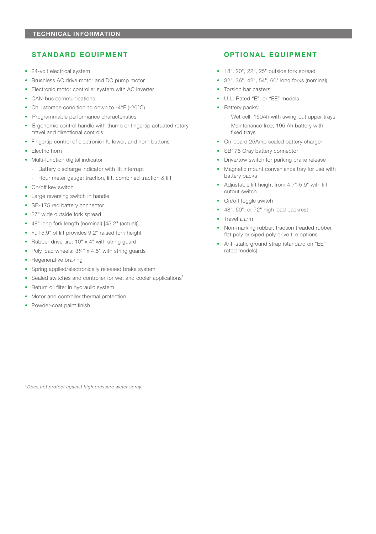### **STANDARD EQUIPMENT**

- 24-volt electrical system
- Brushless AC drive motor and DC pump motor
- Electronic motor controller system with AC inverter
- CAN-bus communications
- Chill storage conditioning down to -4°F (-20°C)
- Programmable performance characteristics
- Ergonomic control handle with thumb or fingertip actuated rotary travel and directional controls
- Fingertip control of electronic lift, lower, and horn buttons
- Electric horn
- Multi-function digital indicator
	- Battery discharge indicator with lift interrupt
	- Hour meter gauge: traction, lift, combined traction & lift
- On/off key switch
- Large reversing switch in handle
- SB-175 red battery connector
- 27" wide outside fork spread
- 48" long fork length (nominal) [45.2" (actual)]
- Full 5.9" of lift provides 9.2" raised fork height
- Rubber drive tire: 10" x 4" with string guard
- Poly load wheels:  $3\frac{1}{4}$  x 4.5" with string guards
- Regenerative braking
- Spring applied/electronically released brake system
- Sealed switches and controller for wet and cooler applications<sup>1</sup>
- Return oil filter in hydraulic system
- Motor and controller thermal protection
- Powder-coat paint finish

### OPTIONAL EQUIPMENT

- $\bullet$  18", 20", 22", 25" outside fork spread
- 32", 36", 42", 54", 60" long forks (nominal)
- Torsion bar casters
- U.L. Rated "E", or "EE" models
- Battery packs:
	- Wet cell, 160Ah with swing-out upper trays
	- Maintenance free, 195 Ah battery with fixed trays
- On-board 25Amp sealed battery charger
- SB175 Gray battery connector
- Drive/tow switch for parking brake release
- Magnetic mount convenience tray for use with battery packs
- Adjustable lift height from 4.7"-5.9" with lift cutout switch
- On/off toggle switch
- 48", 60", or 72" high load backrest
- Travel alarm
- Non-marking rubber, traction treaded rubber, flat poly or siped poly drive tire options
- Anti-static ground strap (standard on "EE" rated models)

<sup>1</sup> Does not protect against high pressure water spray.